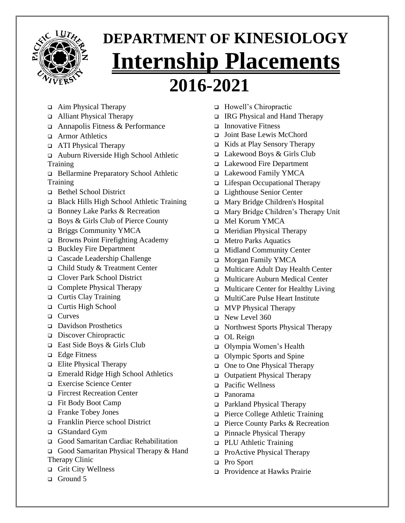

## **DEPARTMENT OF KINESIOLOGY Internship Placements 2016-2021**

- ❑ Aim Physical Therapy
- ❑ Alliant Physical Therapy
- ❑ Annapolis Fitness & Performance
- ❑ Armor Athletics
- ❑ ATI Physical Therapy
- ❑ Auburn Riverside High School Athletic **Training**
- ❑ Bellarmine Preparatory School Athletic **Training**
- ❑ Bethel School District
- ❑ Black Hills High School Athletic Training
- ❑ Bonney Lake Parks & Recreation
- ❑ Boys & Girls Club of Pierce County
- ❑ Briggs Community YMCA
- ❑ Browns Point Firefighting Academy
- ❑ Buckley Fire Department
- ❑ Cascade Leadership Challenge
- ❑ Child Study & Treatment Center
- ❑ Clover Park School District
- ❑ Complete Physical Therapy
- ❑ Curtis Clay Training
- ❑ Curtis High School
- ❑ Curves
- ❑ Davidson Prosthetics
- ❑ Discover Chiropractic
- ❑ East Side Boys & Girls Club
- ❑ Edge Fitness
- ❑ Elite Physical Therapy
- ❑ Emerald Ridge High School Athletics
- ❑ Exercise Science Center
- ❑ Fircrest Recreation Center
- ❑ Fit Body Boot Camp
- ❑ Franke Tobey Jones
- ❑ Franklin Pierce school District
- ❑ GStandard Gym
- ❑ Good Samaritan Cardiac Rehabilitation
- ❑ Good Samaritan Physical Therapy & Hand Therapy Clinic
- ❑ Grit City Wellness
- ❑ Ground 5
- ❑ Howell's Chiropractic
- ❑ IRG Physical and Hand Therapy
- ❑ Innovative Fitness
- ❑ Joint Base Lewis McChord
- ❑ Kids at Play Sensory Therapy
- ❑ Lakewood Boys & Girls Club
- ❑ Lakewood Fire Department
- ❑ Lakewood Family YMCA
- ❑ Lifespan Occupational Therapy
- ❑ Lighthouse Senior Center
- ❑ Mary Bridge Children's Hospital
- ❑ Mary Bridge Children's Therapy Unit
- ❑ Mel Korum YMCA
- ❑ Meridian Physical Therapy
- ❑ Metro Parks Aquatics
- ❑ Midland Community Center
- ❑ Morgan Family YMCA
- ❑ Multicare Adult Day Health Center
- ❑ Multicare Auburn Medical Center
- ❑ Multicare Center for Healthy Living
- ❑ MultiCare Pulse Heart Institute
- ❑ MVP Physical Therapy
- ❑ New Level 360
- ❑ Northwest Sports Physical Therapy
- ❑ OL Reign
- ❑ Olympia Women's Health
- ❑ Olympic Sports and Spine
- ❑ One to One Physical Therapy
- ❑ Outpatient Physical Therapy
- ❑ Pacific Wellness
- ❑ Panorama
- ❑ Parkland Physical Therapy
- ❑ Pierce College Athletic Training
- ❑ Pierce County Parks & Recreation
- ❑ Pinnacle Physical Therapy
- ❑ PLU Athletic Training
- ❑ ProActive Physical Therapy
- ❑ Pro Sport
- ❑ Providence at Hawks Prairie